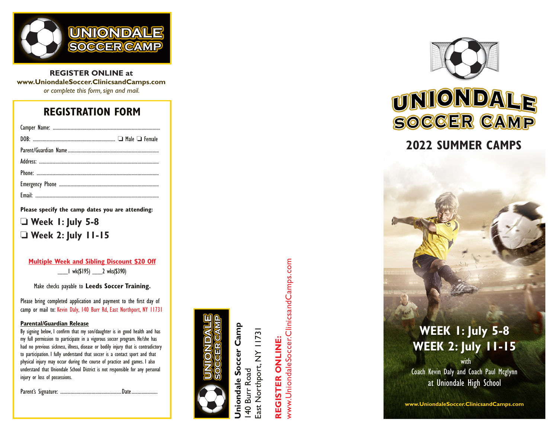

**REGISTER ONLINE at www.UniondaleSoccer.ClinicsandCamps.com** *or complete this form, sign and mail.*

## **REGISTRATION FORM**

**Please specify the camp dates you are attending:**

❏ **Week 1: July 5-8** ❏ **Week 2: July 11-15**

**Multiple Week and Sibling Discount \$20 Off** \_\_\_1 wk(\$195) \_\_\_2 wks(\$390)

Make checks payable to **Leeds Soccer Training.**

Please bring completed application and payment to the first day of camp or mail to: Kevin Daly, 140 Burr Rd, East Northport, NY 11731

#### **Parental/Guardian Release**

By signing below, I confirm that my son/daughter is in good health and has my full permission to participate in a vigorous soccer program. He/she has had no previous sickness, illness, disease or bodily injury that is contradictory to participation. I fully understand that soccer is a contact sport and that physical injury may occur during the course of practice and games. I also understand that Uniondale School District is not responsible for any personal injury or loss of possessions.

Parent's Signature: .................................................Date.....................



**Uniondale Soccer Camp** ondale Soccer Camp ast Northport, NY 11731 East Northport, NY 11731 **Burr Road** 140 Burr Road  $\frac{40}{5}$ 

# **REGISTER ONLINE: REGISTER ONLINE:**

www.UniondaleSoccer.ClinicsandCamps.com www.UniondaleSoccer.ClinicsandCamps.com



## **2022 SUMMER CAMPS**

# **WEEK 1: July 5-8 WEEK 2: July 11-15**

with Coach Kevin Daly and Coach Paul Mcglynn at Uniondale High School